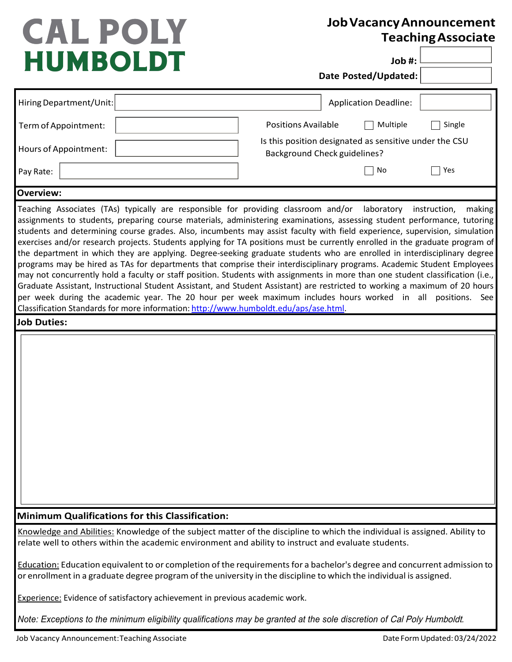## **CAL POLY HUMBOLDT**

## **JobVacancyAnnouncement TeachingAssociate**

**Job #:**

**Date Posted/Updated:**

| Hiring Department/Unit:                                                                                                                                                                          | <b>Application Deadline:</b>                                                                                                                                                                                                                                                                                                                                                                                                                                                                                                                                                                                                                                                                                                                                                                                                                                                                                                                                                                                                                                           |
|--------------------------------------------------------------------------------------------------------------------------------------------------------------------------------------------------|------------------------------------------------------------------------------------------------------------------------------------------------------------------------------------------------------------------------------------------------------------------------------------------------------------------------------------------------------------------------------------------------------------------------------------------------------------------------------------------------------------------------------------------------------------------------------------------------------------------------------------------------------------------------------------------------------------------------------------------------------------------------------------------------------------------------------------------------------------------------------------------------------------------------------------------------------------------------------------------------------------------------------------------------------------------------|
| Term of Appointment:                                                                                                                                                                             | <b>Positions Available</b><br>Multiple<br>Single                                                                                                                                                                                                                                                                                                                                                                                                                                                                                                                                                                                                                                                                                                                                                                                                                                                                                                                                                                                                                       |
| Hours of Appointment:                                                                                                                                                                            | Is this position designated as sensitive under the CSU<br><b>Background Check guidelines?</b>                                                                                                                                                                                                                                                                                                                                                                                                                                                                                                                                                                                                                                                                                                                                                                                                                                                                                                                                                                          |
| Pay Rate:                                                                                                                                                                                        | No<br>Yes                                                                                                                                                                                                                                                                                                                                                                                                                                                                                                                                                                                                                                                                                                                                                                                                                                                                                                                                                                                                                                                              |
| <b>Overview:</b>                                                                                                                                                                                 |                                                                                                                                                                                                                                                                                                                                                                                                                                                                                                                                                                                                                                                                                                                                                                                                                                                                                                                                                                                                                                                                        |
| Teaching Associates (TAs) typically are responsible for providing classroom and/or<br>Classification Standards for more information: http://www.humboldt.edu/aps/ase.html.<br><b>Job Duties:</b> | laboratory<br>making<br>instruction,<br>assignments to students, preparing course materials, administering examinations, assessing student performance, tutoring<br>students and determining course grades. Also, incumbents may assist faculty with field experience, supervision, simulation<br>exercises and/or research projects. Students applying for TA positions must be currently enrolled in the graduate program of<br>the department in which they are applying. Degree-seeking graduate students who are enrolled in interdisciplinary degree<br>programs may be hired as TAs for departments that comprise their interdisciplinary programs. Academic Student Employees<br>may not concurrently hold a faculty or staff position. Students with assignments in more than one student classification (i.e.,<br>Graduate Assistant, Instructional Student Assistant, and Student Assistant) are restricted to working a maximum of 20 hours<br>per week during the academic year. The 20 hour per week maximum includes hours worked in all positions. See |
| <b>Minimum Qualifications for this Classification:</b>                                                                                                                                           |                                                                                                                                                                                                                                                                                                                                                                                                                                                                                                                                                                                                                                                                                                                                                                                                                                                                                                                                                                                                                                                                        |
| relate well to others within the academic environment and ability to instruct and evaluate students.                                                                                             | Knowledge and Abilities: Knowledge of the subject matter of the discipline to which the individual is assigned. Ability to                                                                                                                                                                                                                                                                                                                                                                                                                                                                                                                                                                                                                                                                                                                                                                                                                                                                                                                                             |
| or enrollment in a graduate degree program of the university in the discipline to which the individual is assigned.                                                                              | Education: Education equivalent to or completion of the requirements for a bachelor's degree and concurrent admission to                                                                                                                                                                                                                                                                                                                                                                                                                                                                                                                                                                                                                                                                                                                                                                                                                                                                                                                                               |
| Experience: Evidence of satisfactory achievement in previous academic work.                                                                                                                      |                                                                                                                                                                                                                                                                                                                                                                                                                                                                                                                                                                                                                                                                                                                                                                                                                                                                                                                                                                                                                                                                        |
| Note: Exceptions to the minimum eligibility qualifications may be granted at the sole discretion of Cal Poly Humboldt.                                                                           |                                                                                                                                                                                                                                                                                                                                                                                                                                                                                                                                                                                                                                                                                                                                                                                                                                                                                                                                                                                                                                                                        |